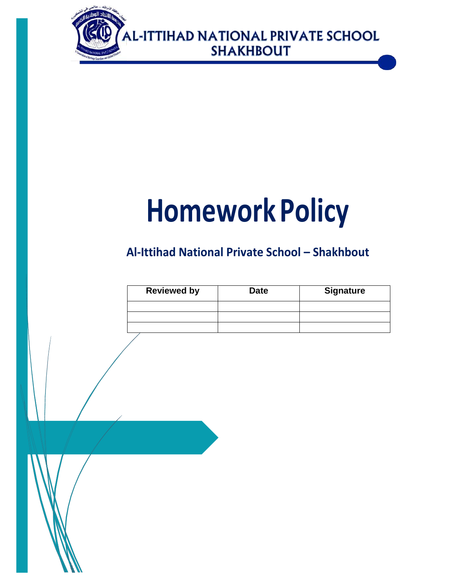

# **HomeworkPolicy**

# **Al-Ittihad National Private School – Shakhbout**

| <b>Reviewed by</b> | <b>Date</b> | Signature |
|--------------------|-------------|-----------|
|                    |             |           |
|                    |             |           |
|                    |             |           |
|                    |             |           |
|                    |             |           |
|                    |             |           |
|                    |             |           |
|                    |             |           |
|                    |             |           |
|                    |             |           |
|                    |             |           |
|                    |             |           |
|                    |             |           |
|                    |             |           |
|                    |             |           |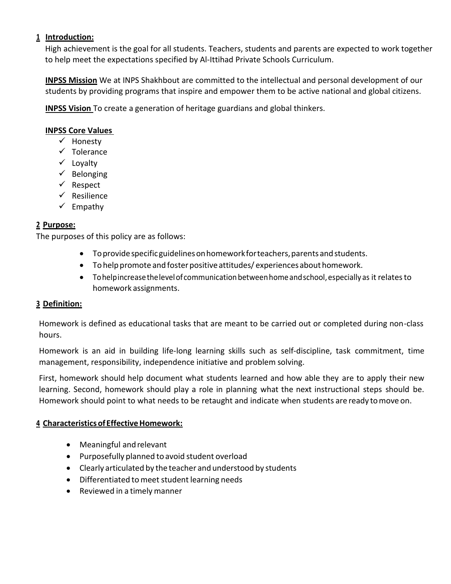# **1 Introduction:**

High achievement is the goal for all students. Teachers, students and parents are expected to work together to help meet the expectations specified by Al-Ittihad Private Schools Curriculum.

**INPSS Mission** We at INPS Shakhbout are committed to the intellectual and personal development of our students by providing programs that inspire and empower them to be active national and global citizens.

**INPSS Vision** To create a generation of heritage guardians and global thinkers.

# **INPSS Core Values**

- $\checkmark$  Honesty
- $\checkmark$  Tolerance
- $\checkmark$  Lovalty
- $\checkmark$  Belonging
- $\checkmark$  Respect
- $\checkmark$  Resilience
- $\checkmark$  Empathy

# **2 Purpose:**

The purposes of this policy are as follows:

- To provide specific guidelines on homework for teachers, parents and students.
- To help promote and foster positive attitudes/ experiences about homework.
- Tohelpincreasethelevelofcommunicationbetweenhomeandschool,especially as it relatesto homework assignments.

# **3 Definition:**

Homework is defined as educational tasks that are meant to be carried out or completed during non-class hours.

Homework is an aid in building life-long learning skills such as self-discipline, task commitment, time management, responsibility, independence initiative and problem solving.

First, homework should help document what students learned and how able they are to apply their new learning. Second, homework should play a role in planning what the next instructional steps should be. Homework should point to what needs to be retaught and indicate when students are ready tomove on.

# **4 Characteristics of Effective Homework:**

- Meaningful andrelevant
- Purposefully planned to avoid student overload
- Clearly articulated by the teacher and understood by students
- Differentiated tomeet student learning needs
- Reviewed in a timely manner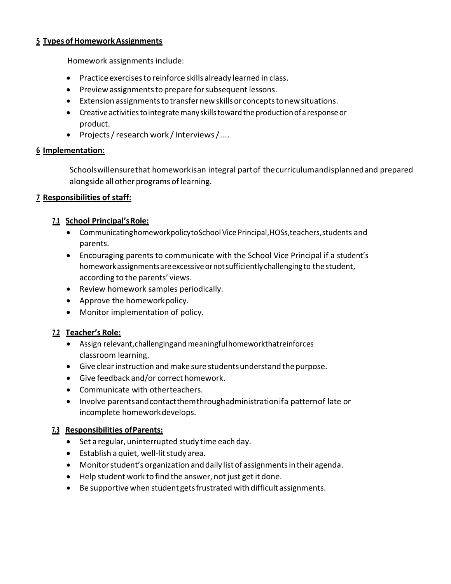#### **5 Types of Homework Assignments**

Homework assignments include:

- Practice exercisesto reinforce skills already learned in class.
- Preview assignments to prepare for subsequent lessons.
- Extension assignmentstotransfernewskillsorconceptstonewsituations.
- Creative activitiestointegratemanyskillstoward theproductionofa response or product.
- Projects / research work / Interviews / ....

# **6 Implementation:**

Schoolswillensurethat homeworkisan integral partof thecurriculumandisplannedand prepared alongside all other programs of learning.

# **7 Responsibilities of staff:**

# **7.1 School Principal'sRole:**

- CommunicatinghomeworkpolicytoSchool Vice Principal,HOSs,teachers,students and parents.
- Encouraging parents to communicate with the School Vice Principal if a student's homeworkassignmentsareexcessiveornotsufficiently challengingto thestudent, according to the parents' views.
- Review homework samples periodically.
- Approve the homeworkpolicy.
- Monitor implementation of policy.

# **7.2 Teacher's Role:**

- Assign relevant,challengingand meaningfulhomeworkthatreinforces classroom learning.
- Give clearinstruction andmake sure studentsunderstand thepurpose.
- Give feedback and/or correct homework.
- Communicate with otherteachers.
- Involve parentsand contact them through administration if a pattern of late or incomplete homeworkdevelops.

# **7.3 Responsibilities ofParents:**

- Set a regular, uninterrupted study time each day.
- $\bullet$  Establish a quiet, well-lit study area.
- Monitorstudent's organization anddaily list of assignmentsintheiragenda.
- Help student work to find the answer, not just get it done.
- Be supportive when student getsfrustrated with difficult assignments.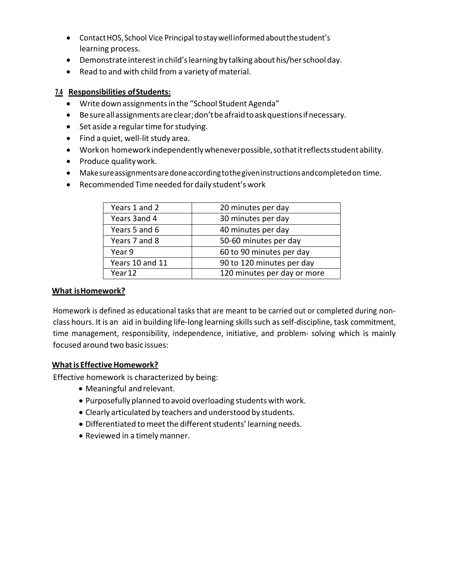- ContactHOS,School Vice Principal tostaywellinformedaboutthestudent's learning process.
- Demonstrate interest in child's learning by talking about his/her schoolday.
- Read to and with child from a variety of material.

#### **7.4 Responsibilities ofStudents:**

- Write down assignmentsin the "School Student Agenda"
- Besureallassignments areclear;don'tbeafraidtoaskquestionsifnecessary.
- Set aside a regular time for studying.
- $\bullet$  Find a quiet, well-lit study area.
- Workon homeworkindependentlywheneverpossible,sothatitreflectsstudentability.
- Produce quality work.
- Makesureassignmentsaredoneaccordingtothegiveninstructionsandcompletedon time.
- Recommended Time needed for daily student's work

| Years 1 and 2   | 20 minutes per day          |  |
|-----------------|-----------------------------|--|
| Years 3and 4    | 30 minutes per day          |  |
| Years 5 and 6   | 40 minutes per day          |  |
| Years 7 and 8   | 50-60 minutes per day       |  |
| Year 9          | 60 to 90 minutes per day    |  |
| Years 10 and 11 | 90 to 120 minutes per day   |  |
| Year 12         | 120 minutes per day or more |  |

#### **What isHomework?**

Homework is defined as educational tasks that are meant to be carried out or completed during nonclass hours. It is an aid in building life-long learning skillssuch asself-discipline, task commitment, time management, responsibility, independence, initiative, and problem- solving which is mainly focused around two basic issues:

# **What is Effective Homework?**

Effective homework is characterized by being:

- Meaningful and relevant.
- Purposefully planned toavoid overloading students with work.
- Clearly articulated by teachers and understood by students.
- Differentiated to meet the different students' learning needs.
- Reviewed in a timely manner.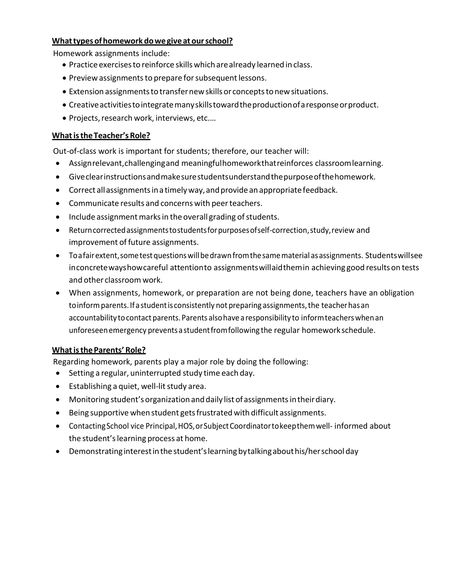#### **Whattypesofhomework dowe giveatourschool?**

Homework assignments include:

- Practice exercisesto reinforce skillswhicharealready learned in class.
- Preview assignments to prepare for subsequent lessons.
- Extension assignments to transfer new skills or concepts to new situations.
- Creativeactivitiestointegratemanyskillstowardtheproductionofaresponseorproduct.
- Projects, research work, interviews, etc....

#### **WhatistheTeacher'sRole?**

Out-of-class work is important for students; therefore, our teacher will:

- Assignrelevant,challengingand meaningfulhomeworkthatreinforces classroomlearning.
- Giveclearinstructionsandmakesurestudentsunderstandthepurposeofthehomework.
- Correct allassignmentsina timelyway,andprovide an appropriate feedback.
- Communicate results and concerns with peerteachers.
- Include assignment marks in the overall grading of students.
- Returncorrectedassignmentstostudentsforpurposesofself-correction,study,review and improvement of future assignments.
- Toafairextent,sometestquestionswillbedrawnfromthesamematerial asassignments. Studentswillsee inconcretewayshowcareful attentionto assignmentswillaidthemin achieving good resultson tests and other classroom work.
- When assignments, homework, or preparation are not being done, teachers have an obligation to inform parents. If a student is consistently not preparing assignments, the teacher has an accountability to contact parents. Parents also have a responsibility to inform teachers when an unforeseenemergency prevents astudentfromfollowing the regular homeworkschedule.

# **WhatistheParents' Role?**

Regarding homework, parents play a major role by doing the following:

- Setting a regular, uninterrupted study time each day.
- $\bullet$  Establishing a quiet, well-lit study area.
- Monitoring student'sorganization anddaily list of assignmentsintheirdiary.
- Being supportive when student getsfrustrated with difficult assignments.
- Contacting School vice Principal, HOS, or Subject Coordinator to keep them well- informed about the student'slearning process at home.
- Demonstratinginterestinthe student'slearning bytalkingabouthis/herschoolday